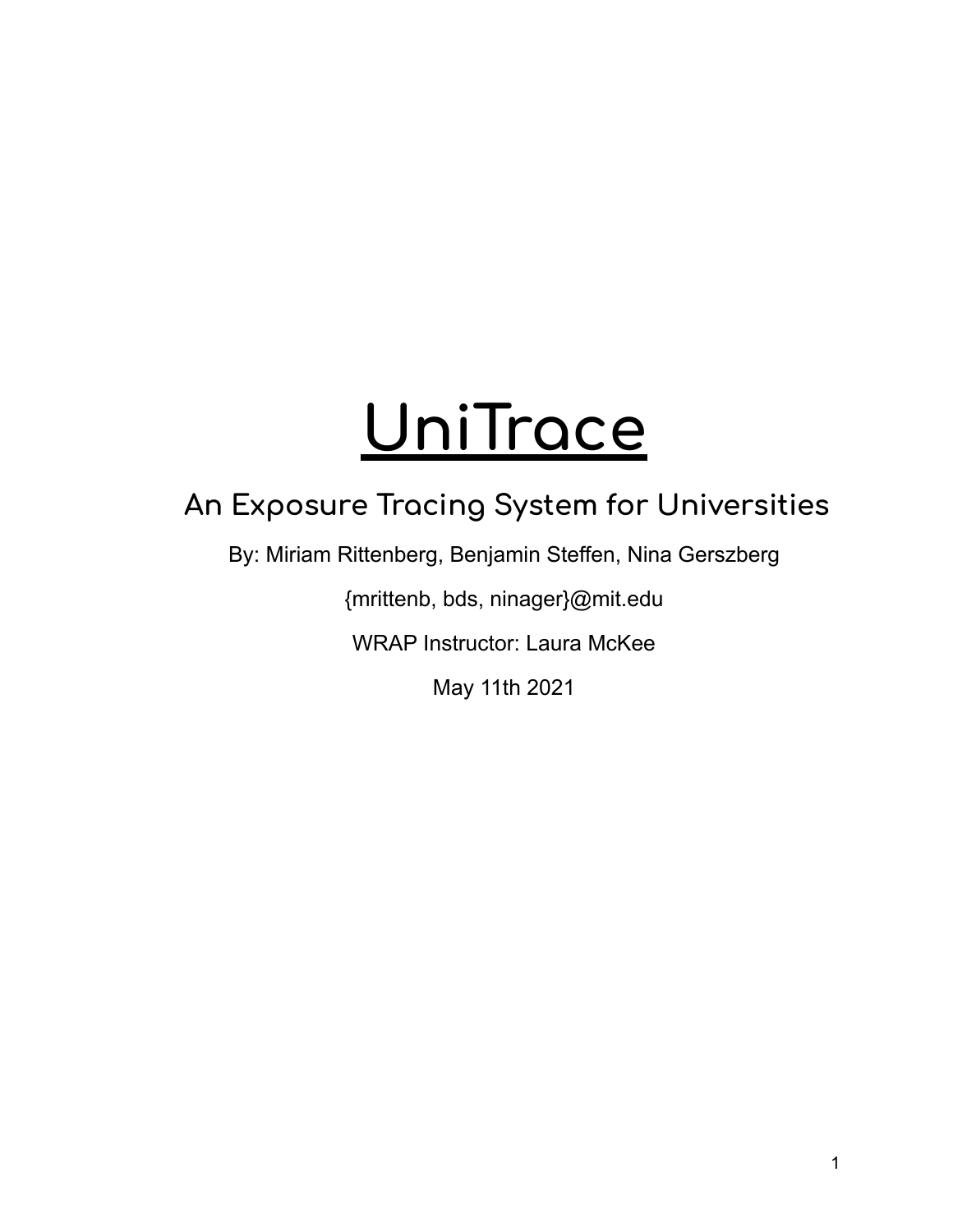# **UniTrace**

## **An Exposure Tracing System for Universities**

By: Miriam Rittenberg, Benjamin Steffen, Nina Gerszberg

{mrittenb, bds, ninager}@mit.edu

WRAP Instructor: Laura McKee

May 11th 2021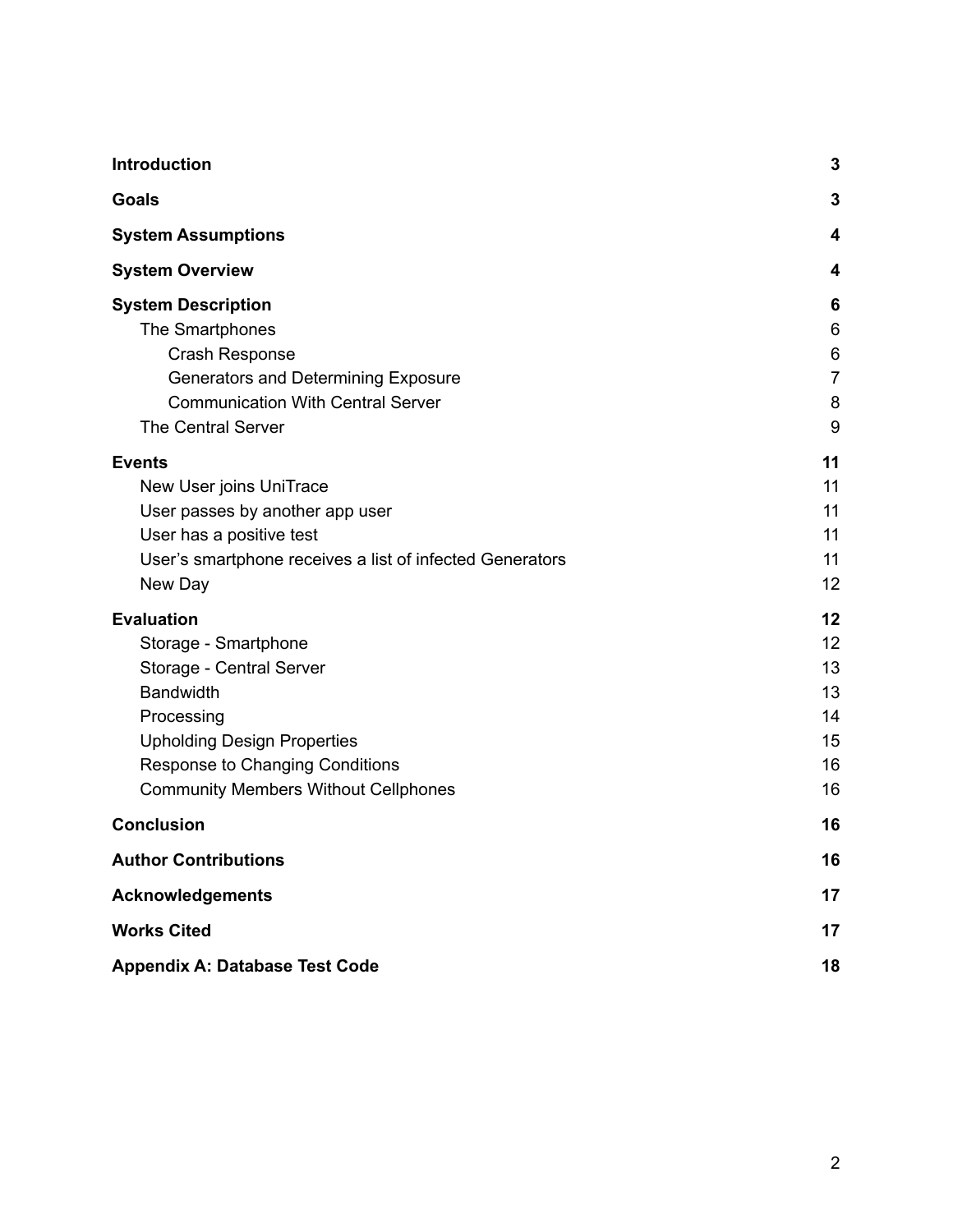| Introduction                                             |                |
|----------------------------------------------------------|----------------|
| <b>Goals</b>                                             | 3              |
| <b>System Assumptions</b>                                | 4              |
| <b>System Overview</b>                                   | 4              |
| <b>System Description</b>                                | 6              |
| The Smartphones                                          | 6              |
| Crash Response                                           | 6              |
| Generators and Determining Exposure                      | $\overline{7}$ |
| <b>Communication With Central Server</b>                 | 8              |
| <b>The Central Server</b>                                | 9              |
| <b>Events</b>                                            | 11             |
| New User joins UniTrace                                  | 11             |
| User passes by another app user                          | 11             |
| User has a positive test                                 | 11             |
| User's smartphone receives a list of infected Generators | 11             |
| New Day                                                  | 12             |
| <b>Evaluation</b>                                        | 12             |
| Storage - Smartphone                                     | 12             |
| Storage - Central Server                                 | 13             |
| <b>Bandwidth</b>                                         | 13             |
| Processing                                               | 14             |
| <b>Upholding Design Properties</b>                       | 15             |
| Response to Changing Conditions                          | 16             |
| <b>Community Members Without Cellphones</b>              | 16             |
| <b>Conclusion</b>                                        | 16             |
| <b>Author Contributions</b>                              | 16             |
| <b>Acknowledgements</b>                                  | 17             |
| <b>Works Cited</b>                                       |                |
| <b>Appendix A: Database Test Code</b>                    |                |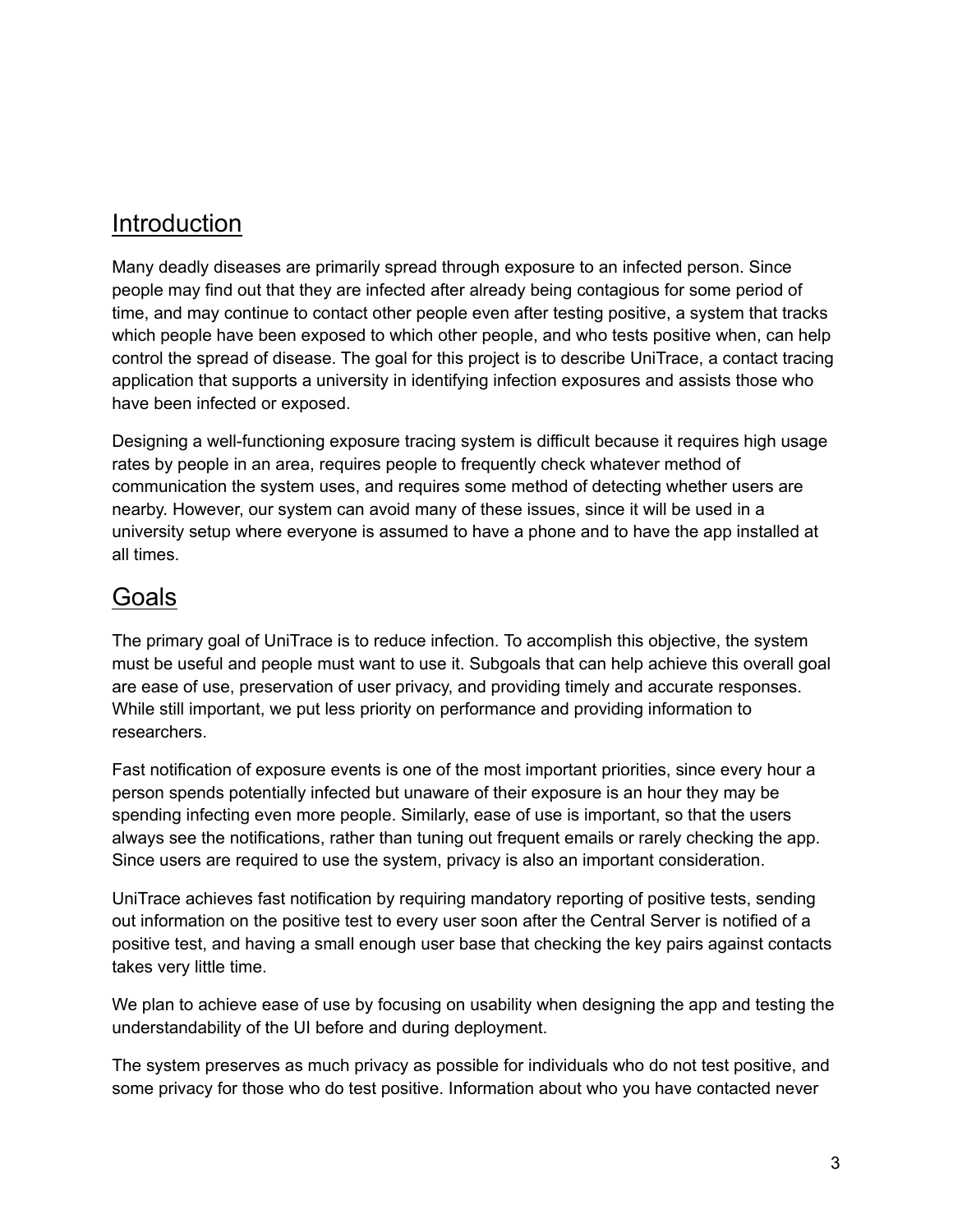## <span id="page-2-0"></span>Introduction

Many deadly diseases are primarily spread through exposure to an infected person. Since people may find out that they are infected after already being contagious for some period of time, and may continue to contact other people even after testing positive, a system that tracks which people have been exposed to which other people, and who tests positive when, can help control the spread of disease. The goal for this project is to describe UniTrace, a contact tracing application that supports a university in identifying infection exposures and assists those who have been infected or exposed.

Designing a well-functioning exposure tracing system is difficult because it requires high usage rates by people in an area, requires people to frequently check whatever method of communication the system uses, and requires some method of detecting whether users are nearby. However, our system can avoid many of these issues, since it will be used in a university setup where everyone is assumed to have a phone and to have the app installed at all times.

## <span id="page-2-1"></span>Goals

The primary goal of UniTrace is to reduce infection. To accomplish this objective, the system must be useful and people must want to use it. Subgoals that can help achieve this overall goal are ease of use, preservation of user privacy, and providing timely and accurate responses. While still important, we put less priority on performance and providing information to researchers.

Fast notification of exposure events is one of the most important priorities, since every hour a person spends potentially infected but unaware of their exposure is an hour they may be spending infecting even more people. Similarly, ease of use is important, so that the users always see the notifications, rather than tuning out frequent emails or rarely checking the app. Since users are required to use the system, privacy is also an important consideration.

UniTrace achieves fast notification by requiring mandatory reporting of positive tests, sending out information on the positive test to every user soon after the Central Server is notified of a positive test, and having a small enough user base that checking the key pairs against contacts takes very little time.

We plan to achieve ease of use by focusing on usability when designing the app and testing the understandability of the UI before and during deployment.

The system preserves as much privacy as possible for individuals who do not test positive, and some privacy for those who do test positive. Information about who you have contacted never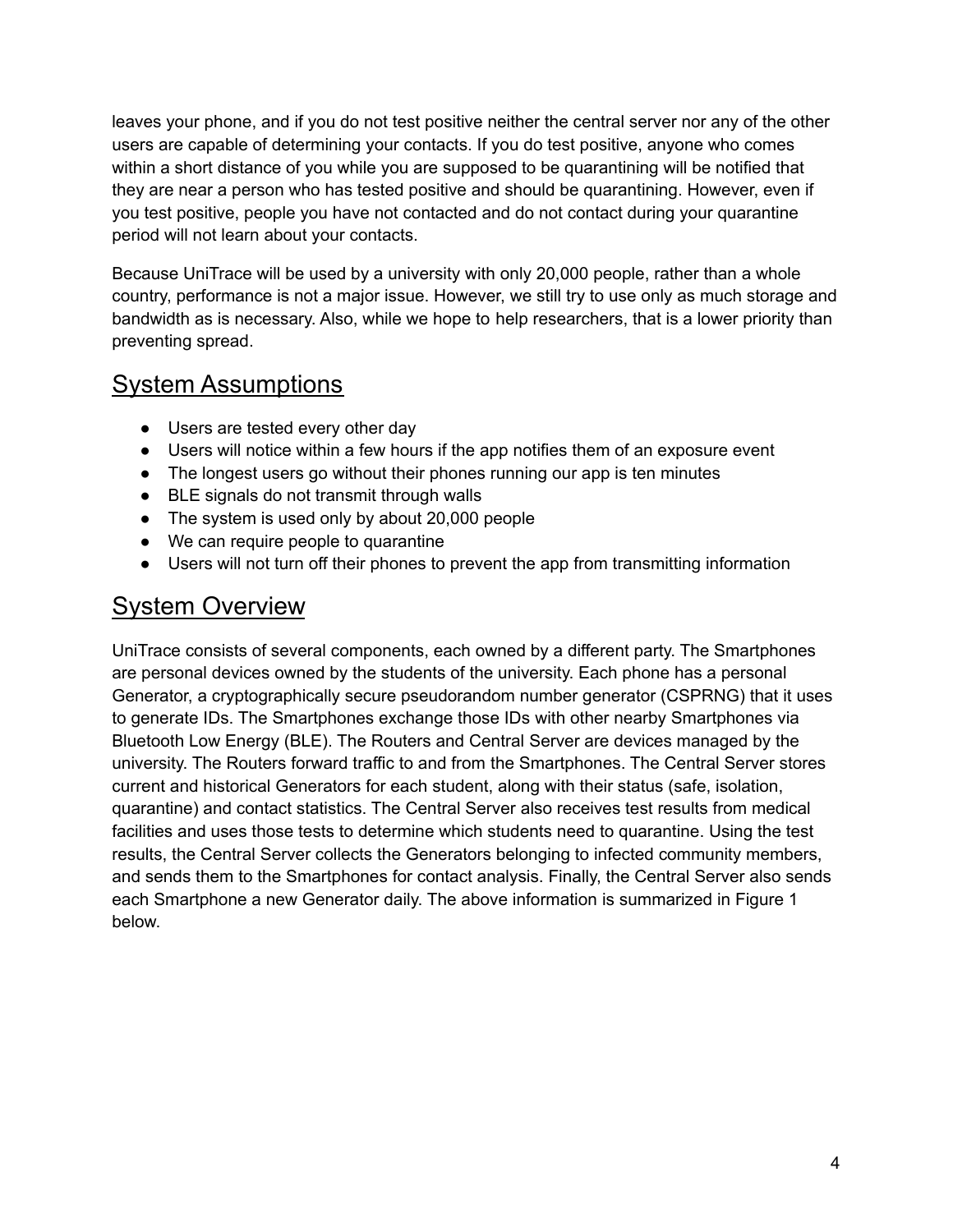leaves your phone, and if you do not test positive neither the central server nor any of the other users are capable of determining your contacts. If you do test positive, anyone who comes within a short distance of you while you are supposed to be quarantining will be notified that they are near a person who has tested positive and should be quarantining. However, even if you test positive, people you have not contacted and do not contact during your quarantine period will not learn about your contacts.

Because UniTrace will be used by a university with only 20,000 people, rather than a whole country, performance is not a major issue. However, we still try to use only as much storage and bandwidth as is necessary. Also, while we hope to help researchers, that is a lower priority than preventing spread.

## <span id="page-3-0"></span>System Assumptions

- Users are tested every other day
- Users will notice within a few hours if the app notifies them of an exposure event
- The longest users go without their phones running our app is ten minutes
- BLE signals do not transmit through walls
- The system is used only by about 20,000 people
- We can require people to quarantine
- Users will not turn off their phones to prevent the app from transmitting information

## <span id="page-3-1"></span>System Overview

UniTrace consists of several components, each owned by a different party. The Smartphones are personal devices owned by the students of the university. Each phone has a personal Generator, a cryptographically secure pseudorandom number generator (CSPRNG) that it uses to generate IDs. The Smartphones exchange those IDs with other nearby Smartphones via Bluetooth Low Energy (BLE). The Routers and Central Server are devices managed by the university. The Routers forward traffic to and from the Smartphones. The Central Server stores current and historical Generators for each student, along with their status (safe, isolation, quarantine) and contact statistics. The Central Server also receives test results from medical facilities and uses those tests to determine which students need to quarantine. Using the test results, the Central Server collects the Generators belonging to infected community members, and sends them to the Smartphones for contact analysis. Finally, the Central Server also sends each Smartphone a new Generator daily. The above information is summarized in Figure 1 below.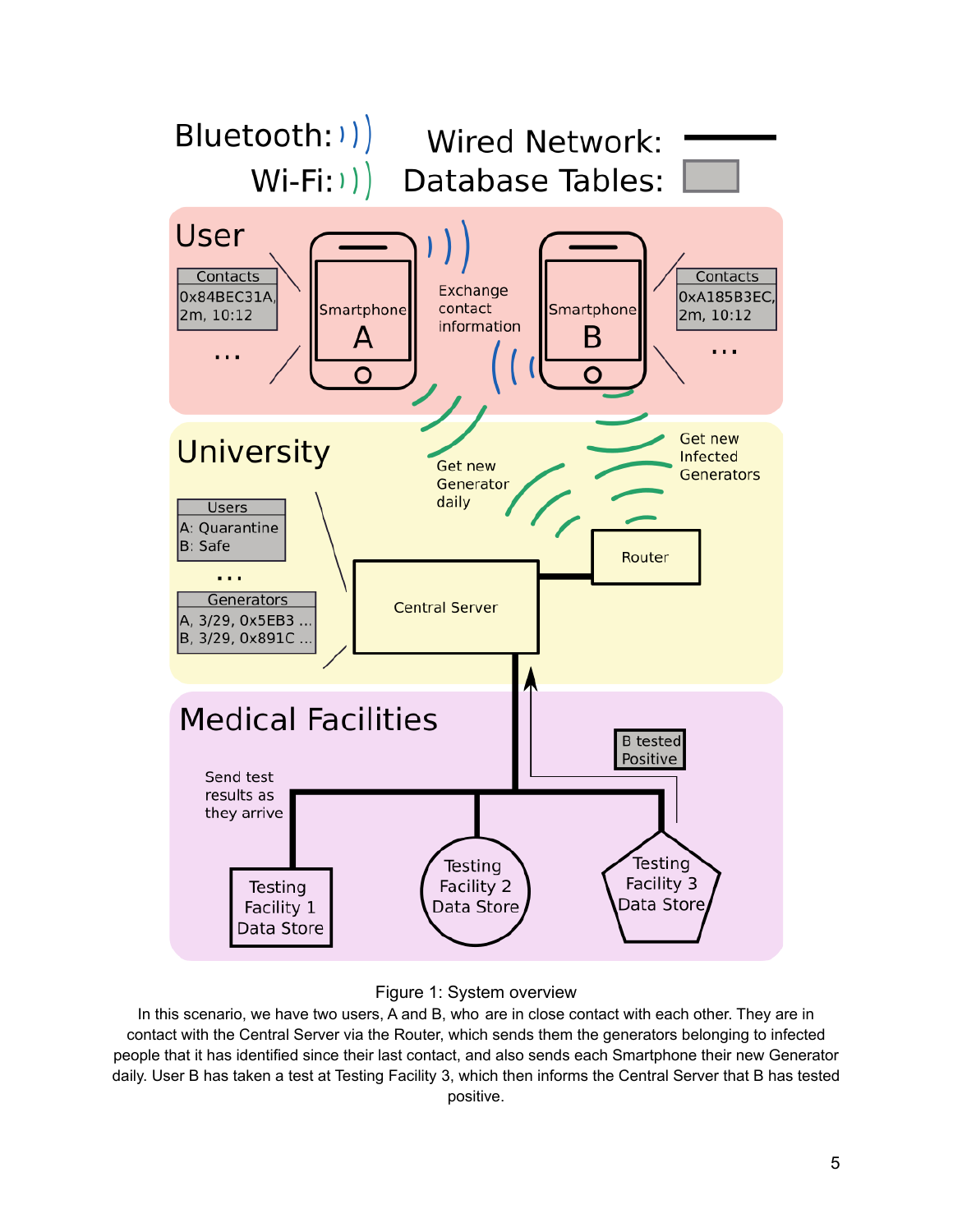



In this scenario, we have two users, A and B, who are in close contact with each other. They are in contact with the Central Server via the Router, which sends them the generators belonging to infected people that it has identified since their last contact, and also sends each Smartphone their new Generator daily. User B has taken a test at Testing Facility 3, which then informs the Central Server that B has tested positive.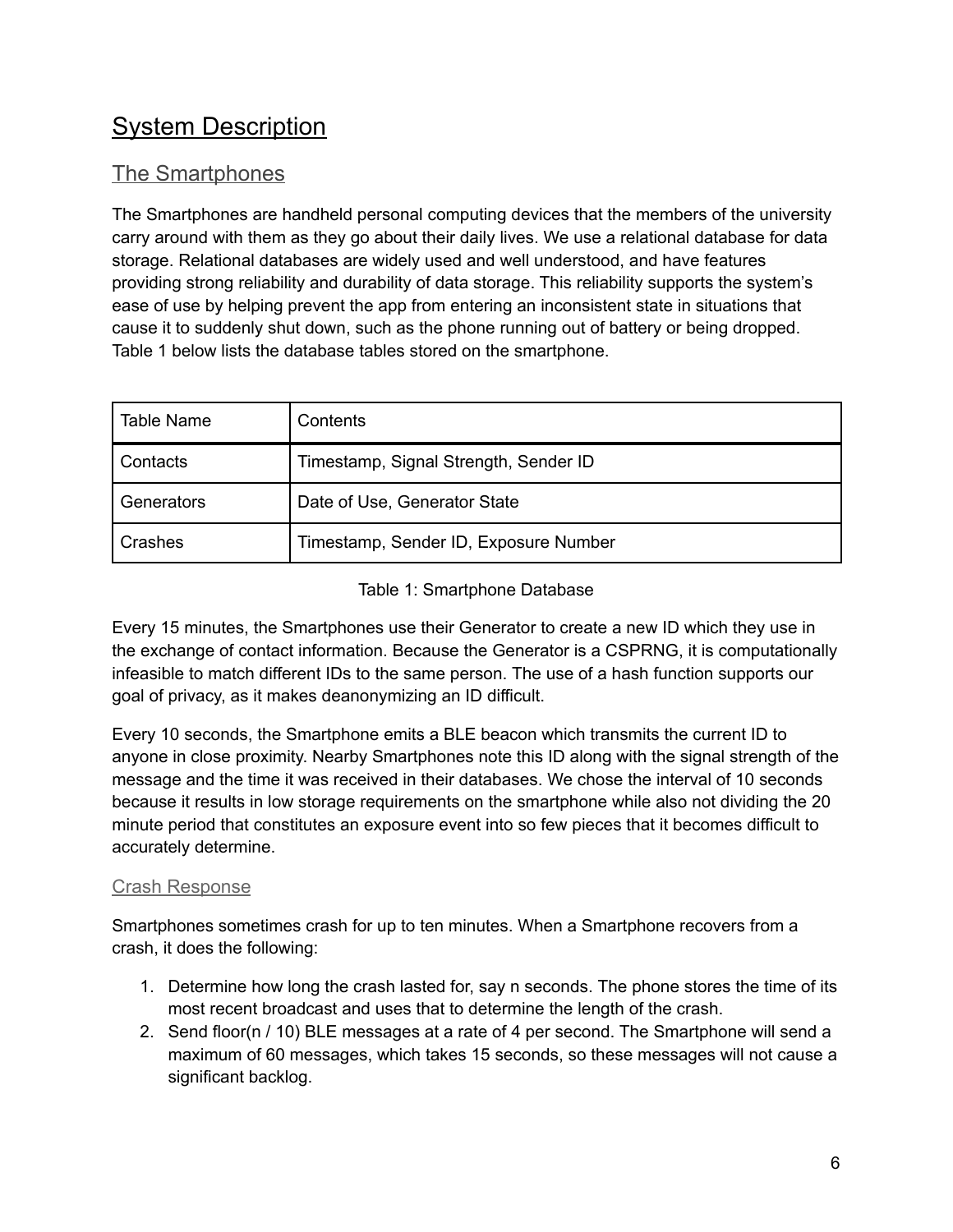## <span id="page-5-0"></span>System Description

#### <span id="page-5-1"></span>The Smartphones

The Smartphones are handheld personal computing devices that the members of the university carry around with them as they go about their daily lives. We use a relational database for data storage. Relational databases are widely used and well understood, and have features providing strong reliability and durability of data storage. This reliability supports the system's ease of use by helping prevent the app from entering an inconsistent state in situations that cause it to suddenly shut down, such as the phone running out of battery or being dropped. Table 1 below lists the database tables stored on the smartphone.

| <b>Table Name</b> | Contents                              |
|-------------------|---------------------------------------|
| Contacts          | Timestamp, Signal Strength, Sender ID |
| Generators        | Date of Use, Generator State          |
| Crashes           | Timestamp, Sender ID, Exposure Number |

#### Table 1: Smartphone Database

Every 15 minutes, the Smartphones use their Generator to create a new ID which they use in the exchange of contact information. Because the Generator is a CSPRNG, it is computationally infeasible to match different IDs to the same person. The use of a hash function supports our goal of privacy, as it makes deanonymizing an ID difficult.

Every 10 seconds, the Smartphone emits a BLE beacon which transmits the current ID to anyone in close proximity. Nearby Smartphones note this ID along with the signal strength of the message and the time it was received in their databases. We chose the interval of 10 seconds because it results in low storage requirements on the smartphone while also not dividing the 20 minute period that constitutes an exposure event into so few pieces that it becomes difficult to accurately determine.

#### <span id="page-5-2"></span>Crash Response

Smartphones sometimes crash for up to ten minutes. When a Smartphone recovers from a crash, it does the following:

- 1. Determine how long the crash lasted for, say n seconds. The phone stores the time of its most recent broadcast and uses that to determine the length of the crash.
- 2. Send floor(n / 10) BLE messages at a rate of 4 per second. The Smartphone will send a maximum of 60 messages, which takes 15 seconds, so these messages will not cause a significant backlog.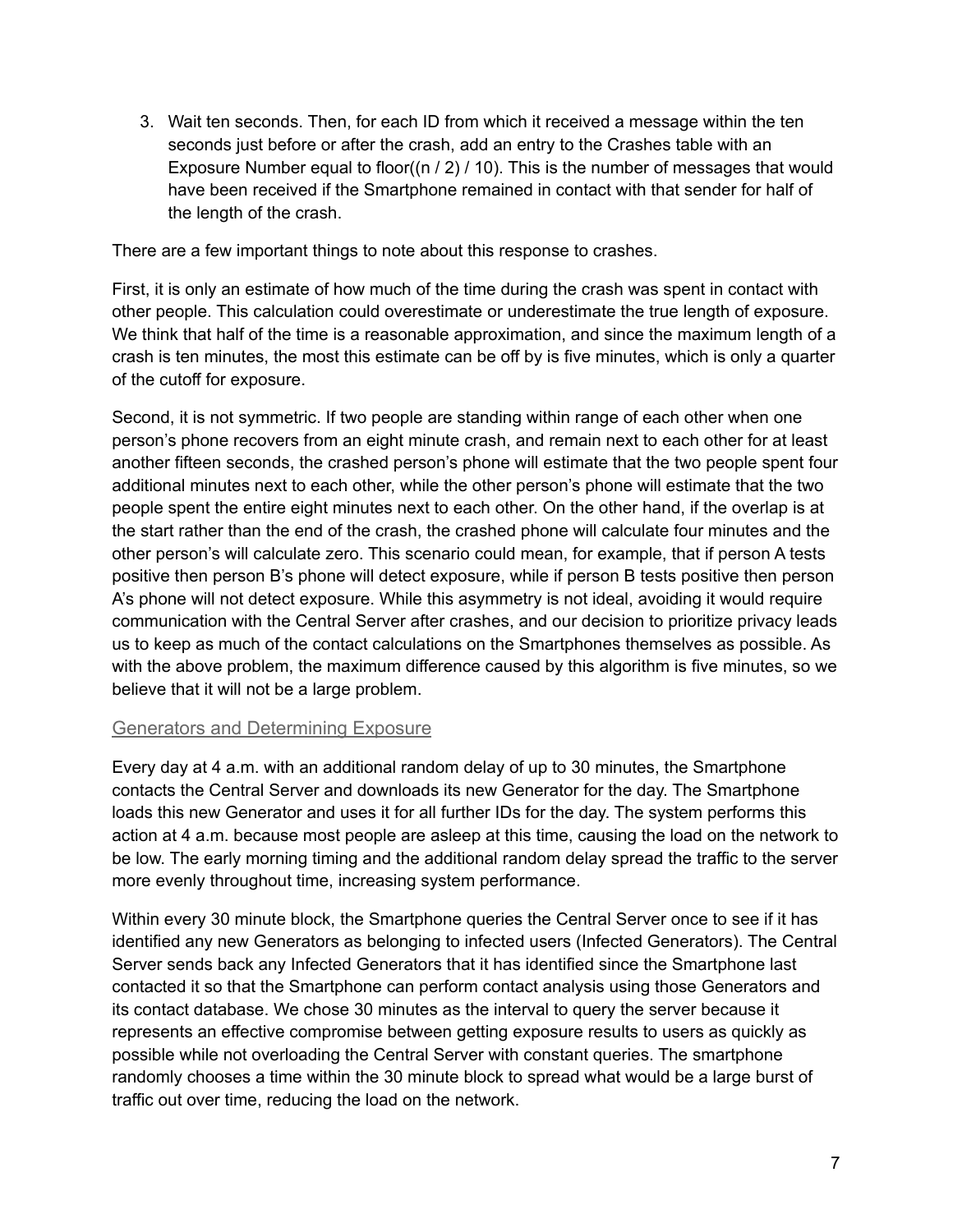3. Wait ten seconds. Then, for each ID from which it received a message within the ten seconds just before or after the crash, add an entry to the Crashes table with an Exposure Number equal to floor( $(n / 2) / 10$ ). This is the number of messages that would have been received if the Smartphone remained in contact with that sender for half of the length of the crash.

There are a few important things to note about this response to crashes.

First, it is only an estimate of how much of the time during the crash was spent in contact with other people. This calculation could overestimate or underestimate the true length of exposure. We think that half of the time is a reasonable approximation, and since the maximum length of a crash is ten minutes, the most this estimate can be off by is five minutes, which is only a quarter of the cutoff for exposure.

Second, it is not symmetric. If two people are standing within range of each other when one person's phone recovers from an eight minute crash, and remain next to each other for at least another fifteen seconds, the crashed person's phone will estimate that the two people spent four additional minutes next to each other, while the other person's phone will estimate that the two people spent the entire eight minutes next to each other. On the other hand, if the overlap is at the start rather than the end of the crash, the crashed phone will calculate four minutes and the other person's will calculate zero. This scenario could mean, for example, that if person A tests positive then person B's phone will detect exposure, while if person B tests positive then person A's phone will not detect exposure. While this asymmetry is not ideal, avoiding it would require communication with the Central Server after crashes, and our decision to prioritize privacy leads us to keep as much of the contact calculations on the Smartphones themselves as possible. As with the above problem, the maximum difference caused by this algorithm is five minutes, so we believe that it will not be a large problem.

#### <span id="page-6-0"></span>Generators and Determining Exposure

Every day at 4 a.m. with an additional random delay of up to 30 minutes, the Smartphone contacts the Central Server and downloads its new Generator for the day. The Smartphone loads this new Generator and uses it for all further IDs for the day. The system performs this action at 4 a.m. because most people are asleep at this time, causing the load on the network to be low. The early morning timing and the additional random delay spread the traffic to the server more evenly throughout time, increasing system performance.

Within every 30 minute block, the Smartphone queries the Central Server once to see if it has identified any new Generators as belonging to infected users (Infected Generators). The Central Server sends back any Infected Generators that it has identified since the Smartphone last contacted it so that the Smartphone can perform contact analysis using those Generators and its contact database. We chose 30 minutes as the interval to query the server because it represents an effective compromise between getting exposure results to users as quickly as possible while not overloading the Central Server with constant queries. The smartphone randomly chooses a time within the 30 minute block to spread what would be a large burst of traffic out over time, reducing the load on the network.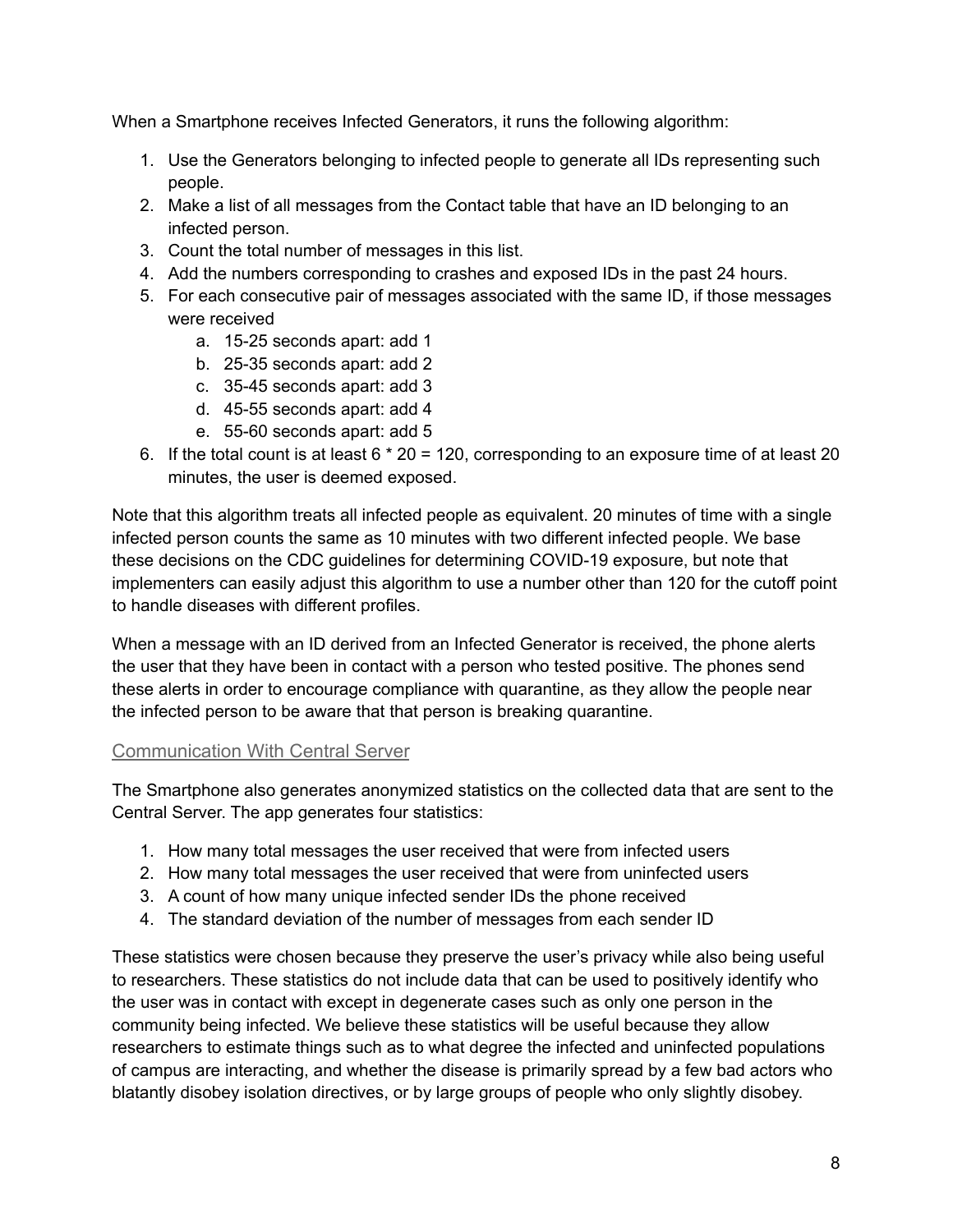When a Smartphone receives Infected Generators, it runs the following algorithm:

- 1. Use the Generators belonging to infected people to generate all IDs representing such people.
- 2. Make a list of all messages from the Contact table that have an ID belonging to an infected person.
- 3. Count the total number of messages in this list.
- 4. Add the numbers corresponding to crashes and exposed IDs in the past 24 hours.
- 5. For each consecutive pair of messages associated with the same ID, if those messages were received
	- a. 15-25 seconds apart: add 1
	- b. 25-35 seconds apart: add 2
	- c. 35-45 seconds apart: add 3
	- d. 45-55 seconds apart: add 4
	- e. 55-60 seconds apart: add 5
- 6. If the total count is at least  $6 * 20 = 120$ , corresponding to an exposure time of at least 20 minutes, the user is deemed exposed.

Note that this algorithm treats all infected people as equivalent. 20 minutes of time with a single infected person counts the same as 10 minutes with two different infected people. We base these decisions on the CDC guidelines for determining COVID-19 exposure, but note that implementers can easily adjust this algorithm to use a number other than 120 for the cutoff point to handle diseases with different profiles.

When a message with an ID derived from an Infected Generator is received, the phone alerts the user that they have been in contact with a person who tested positive. The phones send these alerts in order to encourage compliance with quarantine, as they allow the people near the infected person to be aware that that person is breaking quarantine.

#### <span id="page-7-0"></span>Communication With Central Server

The Smartphone also generates anonymized statistics on the collected data that are sent to the Central Server. The app generates four statistics:

- 1. How many total messages the user received that were from infected users
- 2. How many total messages the user received that were from uninfected users
- 3. A count of how many unique infected sender IDs the phone received
- 4. The standard deviation of the number of messages from each sender ID

These statistics were chosen because they preserve the user's privacy while also being useful to researchers. These statistics do not include data that can be used to positively identify who the user was in contact with except in degenerate cases such as only one person in the community being infected. We believe these statistics will be useful because they allow researchers to estimate things such as to what degree the infected and uninfected populations of campus are interacting, and whether the disease is primarily spread by a few bad actors who blatantly disobey isolation directives, or by large groups of people who only slightly disobey.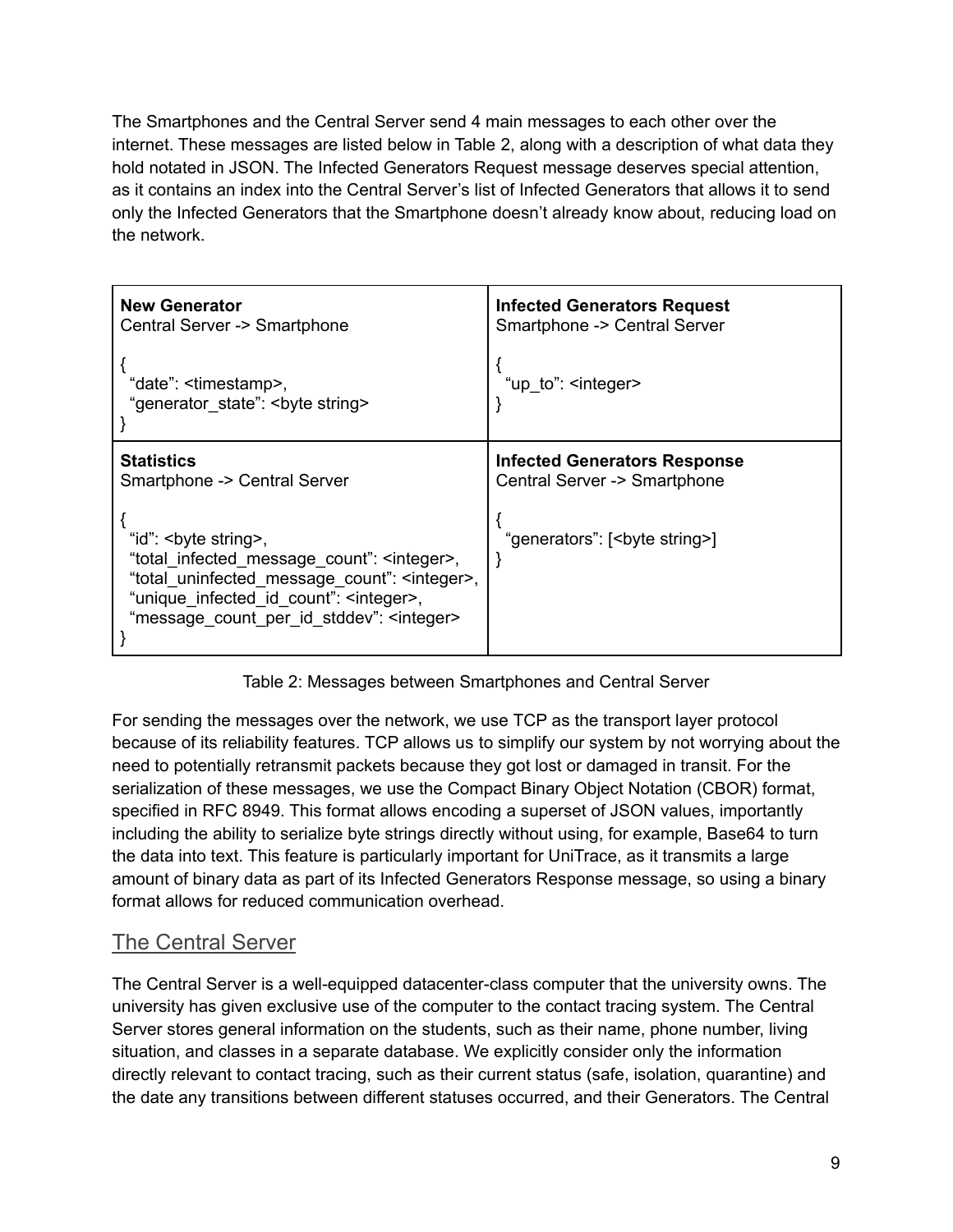The Smartphones and the Central Server send 4 main messages to each other over the internet. These messages are listed below in Table 2, along with a description of what data they hold notated in JSON. The Infected Generators Request message deserves special attention, as it contains an index into the Central Server's list of Infected Generators that allows it to send only the Infected Generators that the Smartphone doesn't already know about, reducing load on the network.

| <b>New Generator</b>                                                                                                                                                                                                                                  | <b>Infected Generators Request</b>       |
|-------------------------------------------------------------------------------------------------------------------------------------------------------------------------------------------------------------------------------------------------------|------------------------------------------|
| Central Server -> Smartphone                                                                                                                                                                                                                          | Smartphone -> Central Server             |
| "date": <timestamp>,<br/>"generator state": <br/>byte string&gt;</timestamp>                                                                                                                                                                          | "up to": <integer></integer>             |
| <b>Statistics</b>                                                                                                                                                                                                                                     | <b>Infected Generators Response</b>      |
| Smartphone -> Central Server                                                                                                                                                                                                                          | Central Server -> Smartphone             |
| "id":<br>byte string>,<br>"total infected message count": <integer>,<br/>"total uninfected message count": <integer>,<br/>"unique_infected_id_count": <integer>,<br/>"message count per id stddev": <integer></integer></integer></integer></integer> | "generators": [ <bute string="">]</bute> |

Table 2: Messages between Smartphones and Central Server

For sending the messages over the network, we use TCP as the transport layer protocol because of its reliability features. TCP allows us to simplify our system by not worrying about the need to potentially retransmit packets because they got lost or damaged in transit. For the serialization of these messages, we use the Compact Binary Object Notation (CBOR) format, specified in RFC 8949. This format allows encoding a superset of JSON values, importantly including the ability to serialize byte strings directly without using, for example, Base64 to turn the data into text. This feature is particularly important for UniTrace, as it transmits a large amount of binary data as part of its Infected Generators Response message, so using a binary format allows for reduced communication overhead.

#### <span id="page-8-0"></span>The Central Server

The Central Server is a well-equipped datacenter-class computer that the university owns. The university has given exclusive use of the computer to the contact tracing system. The Central Server stores general information on the students, such as their name, phone number, living situation, and classes in a separate database. We explicitly consider only the information directly relevant to contact tracing, such as their current status (safe, isolation, quarantine) and the date any transitions between different statuses occurred, and their Generators. The Central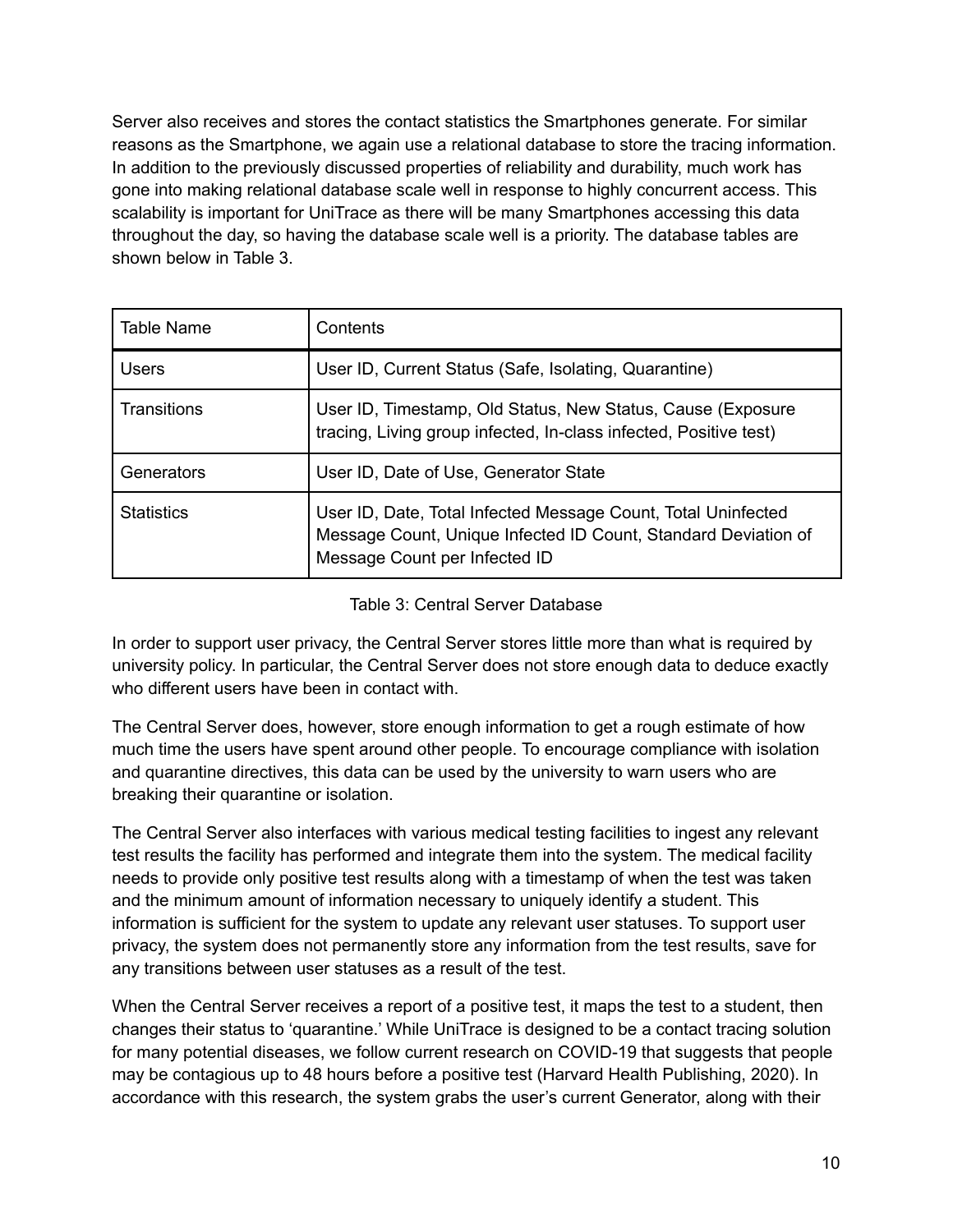Server also receives and stores the contact statistics the Smartphones generate. For similar reasons as the Smartphone, we again use a relational database to store the tracing information. In addition to the previously discussed properties of reliability and durability, much work has gone into making relational database scale well in response to highly concurrent access. This scalability is important for UniTrace as there will be many Smartphones accessing this data throughout the day, so having the database scale well is a priority. The database tables are shown below in Table 3.

| Table Name        | Contents                                                                                                                                                         |
|-------------------|------------------------------------------------------------------------------------------------------------------------------------------------------------------|
| <b>Users</b>      | User ID, Current Status (Safe, Isolating, Quarantine)                                                                                                            |
| Transitions       | User ID, Timestamp, Old Status, New Status, Cause (Exposure<br>tracing, Living group infected, In-class infected, Positive test)                                 |
| Generators        | User ID, Date of Use, Generator State                                                                                                                            |
| <b>Statistics</b> | User ID, Date, Total Infected Message Count, Total Uninfected<br>Message Count, Unique Infected ID Count, Standard Deviation of<br>Message Count per Infected ID |

#### Table 3: Central Server Database

In order to support user privacy, the Central Server stores little more than what is required by university policy. In particular, the Central Server does not store enough data to deduce exactly who different users have been in contact with.

The Central Server does, however, store enough information to get a rough estimate of how much time the users have spent around other people. To encourage compliance with isolation and quarantine directives, this data can be used by the university to warn users who are breaking their quarantine or isolation.

The Central Server also interfaces with various medical testing facilities to ingest any relevant test results the facility has performed and integrate them into the system. The medical facility needs to provide only positive test results along with a timestamp of when the test was taken and the minimum amount of information necessary to uniquely identify a student. This information is sufficient for the system to update any relevant user statuses. To support user privacy, the system does not permanently store any information from the test results, save for any transitions between user statuses as a result of the test.

When the Central Server receives a report of a positive test, it maps the test to a student, then changes their status to 'quarantine.' While UniTrace is designed to be a contact tracing solution for many potential diseases, we follow current research on COVID-19 that suggests that people may be contagious up to 48 hours before a positive test (Harvard Health Publishing, 2020). In accordance with this research, the system grabs the user's current Generator, along with their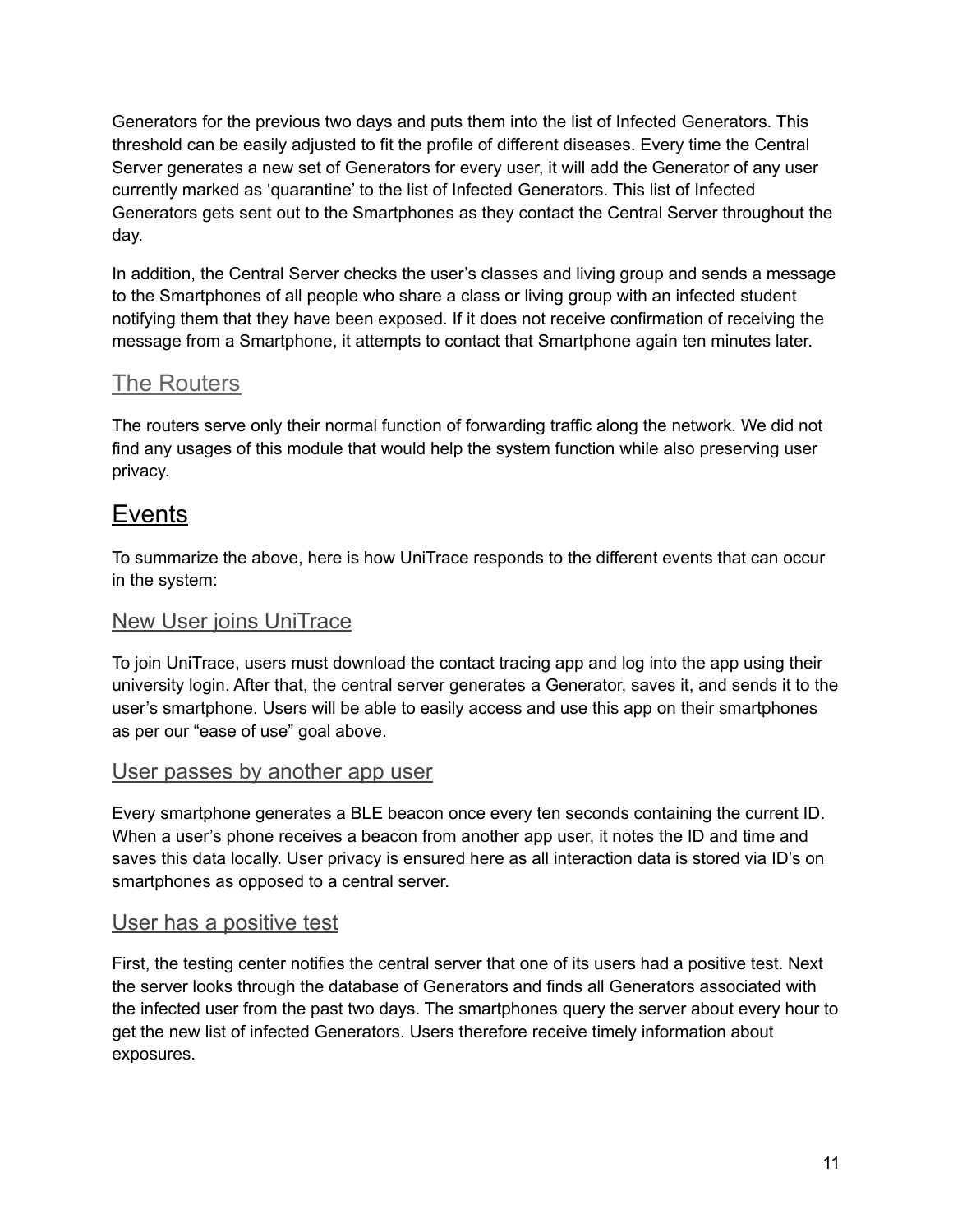Generators for the previous two days and puts them into the list of Infected Generators. This threshold can be easily adjusted to fit the profile of different diseases. Every time the Central Server generates a new set of Generators for every user, it will add the Generator of any user currently marked as 'quarantine' to the list of Infected Generators. This list of Infected Generators gets sent out to the Smartphones as they contact the Central Server throughout the day.

In addition, the Central Server checks the user's classes and living group and sends a message to the Smartphones of all people who share a class or living group with an infected student notifying them that they have been exposed. If it does not receive confirmation of receiving the message from a Smartphone, it attempts to contact that Smartphone again ten minutes later.

#### The Routers

The routers serve only their normal function of forwarding traffic along the network. We did not find any usages of this module that would help the system function while also preserving user privacy.

## <span id="page-10-0"></span>Events

To summarize the above, here is how UniTrace responds to the different events that can occur in the system:

#### <span id="page-10-1"></span>New User joins UniTrace

To join UniTrace, users must download the contact tracing app and log into the app using their university login. After that, the central server generates a Generator, saves it, and sends it to the user's smartphone. Users will be able to easily access and use this app on their smartphones as per our "ease of use" goal above.

#### <span id="page-10-2"></span>User passes by another app user

Every smartphone generates a BLE beacon once every ten seconds containing the current ID. When a user's phone receives a beacon from another app user, it notes the ID and time and saves this data locally. User privacy is ensured here as all interaction data is stored via ID's on smartphones as opposed to a central server.

#### <span id="page-10-3"></span>User has a positive test

First, the testing center notifies the central server that one of its users had a positive test. Next the server looks through the database of Generators and finds all Generators associated with the infected user from the past two days. The smartphones query the server about every hour to get the new list of infected Generators. Users therefore receive timely information about exposures.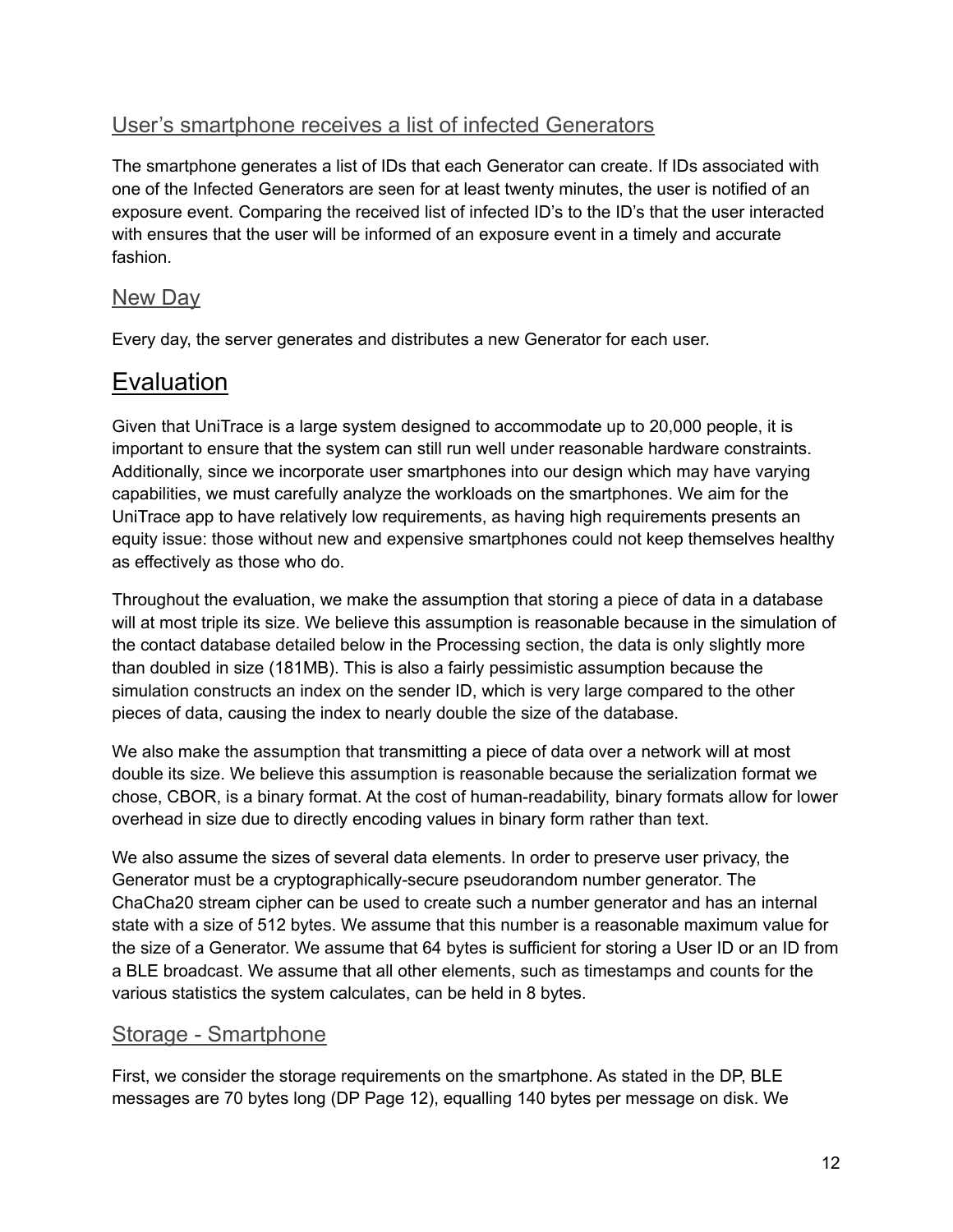#### <span id="page-11-0"></span>User's smartphone receives a list of infected Generators

The smartphone generates a list of IDs that each Generator can create. If IDs associated with one of the Infected Generators are seen for at least twenty minutes, the user is notified of an exposure event. Comparing the received list of infected ID's to the ID's that the user interacted with ensures that the user will be informed of an exposure event in a timely and accurate fashion.

#### <span id="page-11-1"></span>**New Day**

Every day, the server generates and distributes a new Generator for each user.

## <span id="page-11-2"></span>Evaluation

Given that UniTrace is a large system designed to accommodate up to 20,000 people, it is important to ensure that the system can still run well under reasonable hardware constraints. Additionally, since we incorporate user smartphones into our design which may have varying capabilities, we must carefully analyze the workloads on the smartphones. We aim for the UniTrace app to have relatively low requirements, as having high requirements presents an equity issue: those without new and expensive smartphones could not keep themselves healthy as effectively as those who do.

Throughout the evaluation, we make the assumption that storing a piece of data in a database will at most triple its size. We believe this assumption is reasonable because in the simulation of the contact database detailed below in the Processing section, the data is only slightly more than doubled in size (181MB). This is also a fairly pessimistic assumption because the simulation constructs an index on the sender ID, which is very large compared to the other pieces of data, causing the index to nearly double the size of the database.

We also make the assumption that transmitting a piece of data over a network will at most double its size. We believe this assumption is reasonable because the serialization format we chose, CBOR, is a binary format. At the cost of human-readability, binary formats allow for lower overhead in size due to directly encoding values in binary form rather than text.

We also assume the sizes of several data elements. In order to preserve user privacy, the Generator must be a cryptographically-secure pseudorandom number generator. The ChaCha20 stream cipher can be used to create such a number generator and has an internal state with a size of 512 bytes. We assume that this number is a reasonable maximum value for the size of a Generator. We assume that 64 bytes is sufficient for storing a User ID or an ID from a BLE broadcast. We assume that all other elements, such as timestamps and counts for the various statistics the system calculates, can be held in 8 bytes.

#### <span id="page-11-3"></span>Storage - Smartphone

First, we consider the storage requirements on the smartphone. As stated in the DP, BLE messages are 70 bytes long (DP Page 12), equalling 140 bytes per message on disk. We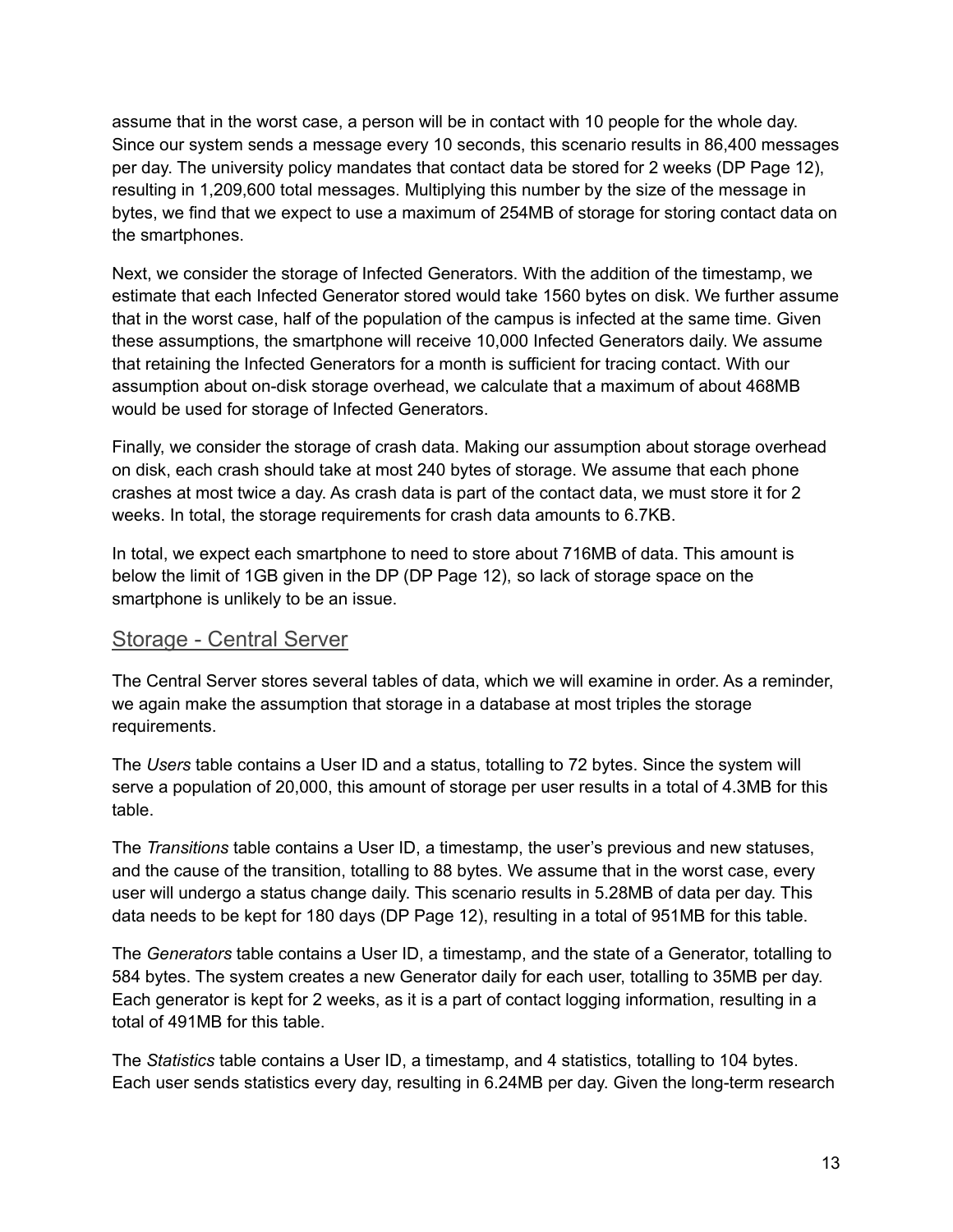assume that in the worst case, a person will be in contact with 10 people for the whole day. Since our system sends a message every 10 seconds, this scenario results in 86,400 messages per day. The university policy mandates that contact data be stored for 2 weeks (DP Page 12), resulting in 1,209,600 total messages. Multiplying this number by the size of the message in bytes, we find that we expect to use a maximum of 254MB of storage for storing contact data on the smartphones.

Next, we consider the storage of Infected Generators. With the addition of the timestamp, we estimate that each Infected Generator stored would take 1560 bytes on disk. We further assume that in the worst case, half of the population of the campus is infected at the same time. Given these assumptions, the smartphone will receive 10,000 Infected Generators daily. We assume that retaining the Infected Generators for a month is sufficient for tracing contact. With our assumption about on-disk storage overhead, we calculate that a maximum of about 468MB would be used for storage of Infected Generators.

Finally, we consider the storage of crash data. Making our assumption about storage overhead on disk, each crash should take at most 240 bytes of storage. We assume that each phone crashes at most twice a day. As crash data is part of the contact data, we must store it for 2 weeks. In total, the storage requirements for crash data amounts to 6.7KB.

In total, we expect each smartphone to need to store about 716MB of data. This amount is below the limit of 1GB given in the DP (DP Page 12), so lack of storage space on the smartphone is unlikely to be an issue.

#### <span id="page-12-0"></span>Storage - Central Server

The Central Server stores several tables of data, which we will examine in order. As a reminder, we again make the assumption that storage in a database at most triples the storage requirements.

The *Users* table contains a User ID and a status, totalling to 72 bytes. Since the system will serve a population of 20,000, this amount of storage per user results in a total of 4.3MB for this table.

The *Transitions* table contains a User ID, a timestamp, the user's previous and new statuses, and the cause of the transition, totalling to 88 bytes. We assume that in the worst case, every user will undergo a status change daily. This scenario results in 5.28MB of data per day. This data needs to be kept for 180 days (DP Page 12), resulting in a total of 951MB for this table.

The *Generators* table contains a User ID, a timestamp, and the state of a Generator, totalling to 584 bytes. The system creates a new Generator daily for each user, totalling to 35MB per day. Each generator is kept for 2 weeks, as it is a part of contact logging information, resulting in a total of 491MB for this table.

The *Statistics* table contains a User ID, a timestamp, and 4 statistics, totalling to 104 bytes. Each user sends statistics every day, resulting in 6.24MB per day. Given the long-term research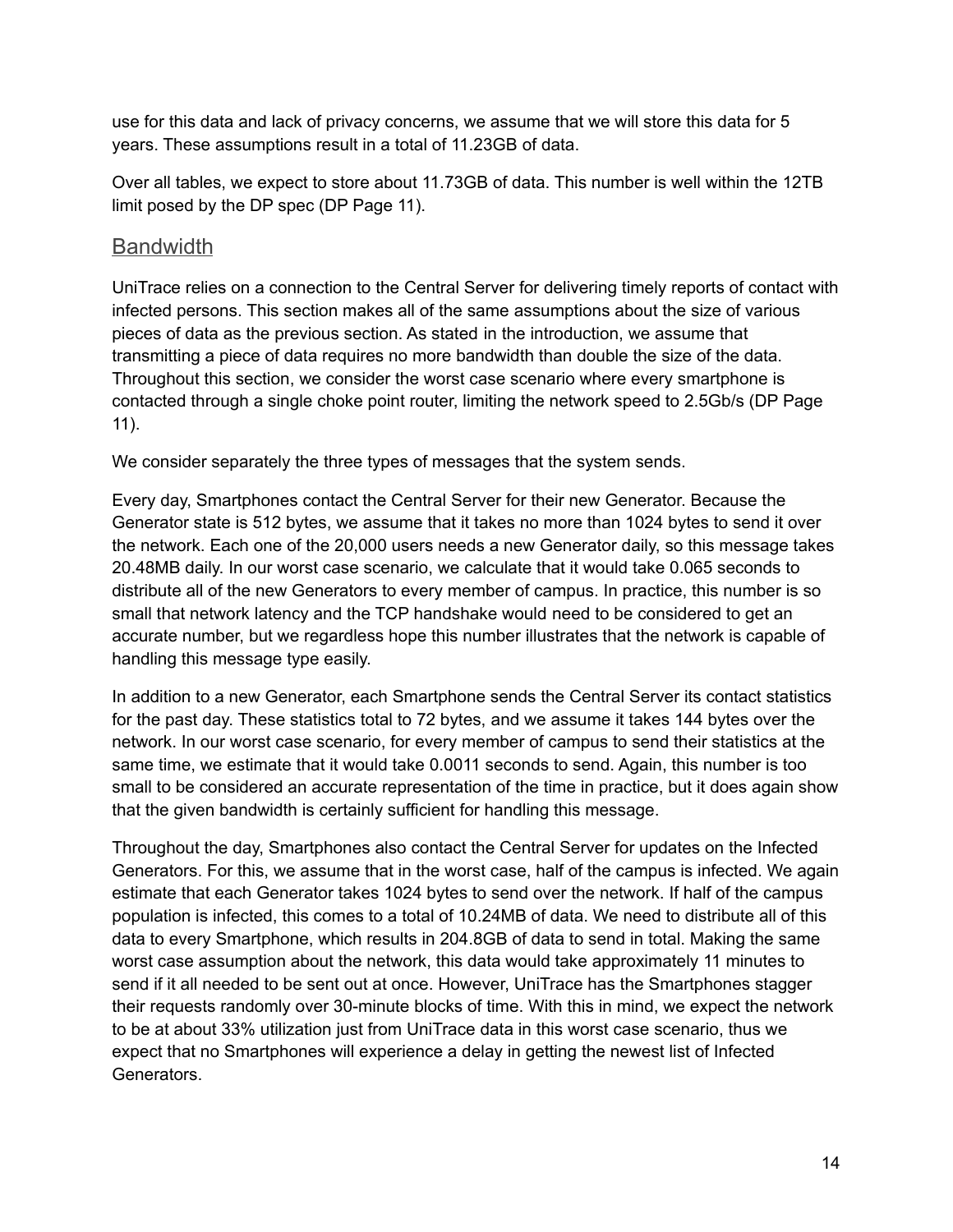use for this data and lack of privacy concerns, we assume that we will store this data for 5 years. These assumptions result in a total of 11.23GB of data.

Over all tables, we expect to store about 11.73GB of data. This number is well within the 12TB limit posed by the DP spec (DP Page 11).

#### <span id="page-13-0"></span>**Bandwidth**

UniTrace relies on a connection to the Central Server for delivering timely reports of contact with infected persons. This section makes all of the same assumptions about the size of various pieces of data as the previous section. As stated in the introduction, we assume that transmitting a piece of data requires no more bandwidth than double the size of the data. Throughout this section, we consider the worst case scenario where every smartphone is contacted through a single choke point router, limiting the network speed to 2.5Gb/s (DP Page 11).

We consider separately the three types of messages that the system sends.

Every day, Smartphones contact the Central Server for their new Generator. Because the Generator state is 512 bytes, we assume that it takes no more than 1024 bytes to send it over the network. Each one of the 20,000 users needs a new Generator daily, so this message takes 20.48MB daily. In our worst case scenario, we calculate that it would take 0.065 seconds to distribute all of the new Generators to every member of campus. In practice, this number is so small that network latency and the TCP handshake would need to be considered to get an accurate number, but we regardless hope this number illustrates that the network is capable of handling this message type easily.

In addition to a new Generator, each Smartphone sends the Central Server its contact statistics for the past day. These statistics total to 72 bytes, and we assume it takes 144 bytes over the network. In our worst case scenario, for every member of campus to send their statistics at the same time, we estimate that it would take 0.0011 seconds to send. Again, this number is too small to be considered an accurate representation of the time in practice, but it does again show that the given bandwidth is certainly sufficient for handling this message.

Throughout the day, Smartphones also contact the Central Server for updates on the Infected Generators. For this, we assume that in the worst case, half of the campus is infected. We again estimate that each Generator takes 1024 bytes to send over the network. If half of the campus population is infected, this comes to a total of 10.24MB of data. We need to distribute all of this data to every Smartphone, which results in 204.8GB of data to send in total. Making the same worst case assumption about the network, this data would take approximately 11 minutes to send if it all needed to be sent out at once. However, UniTrace has the Smartphones stagger their requests randomly over 30-minute blocks of time. With this in mind, we expect the network to be at about 33% utilization just from UniTrace data in this worst case scenario, thus we expect that no Smartphones will experience a delay in getting the newest list of Infected Generators.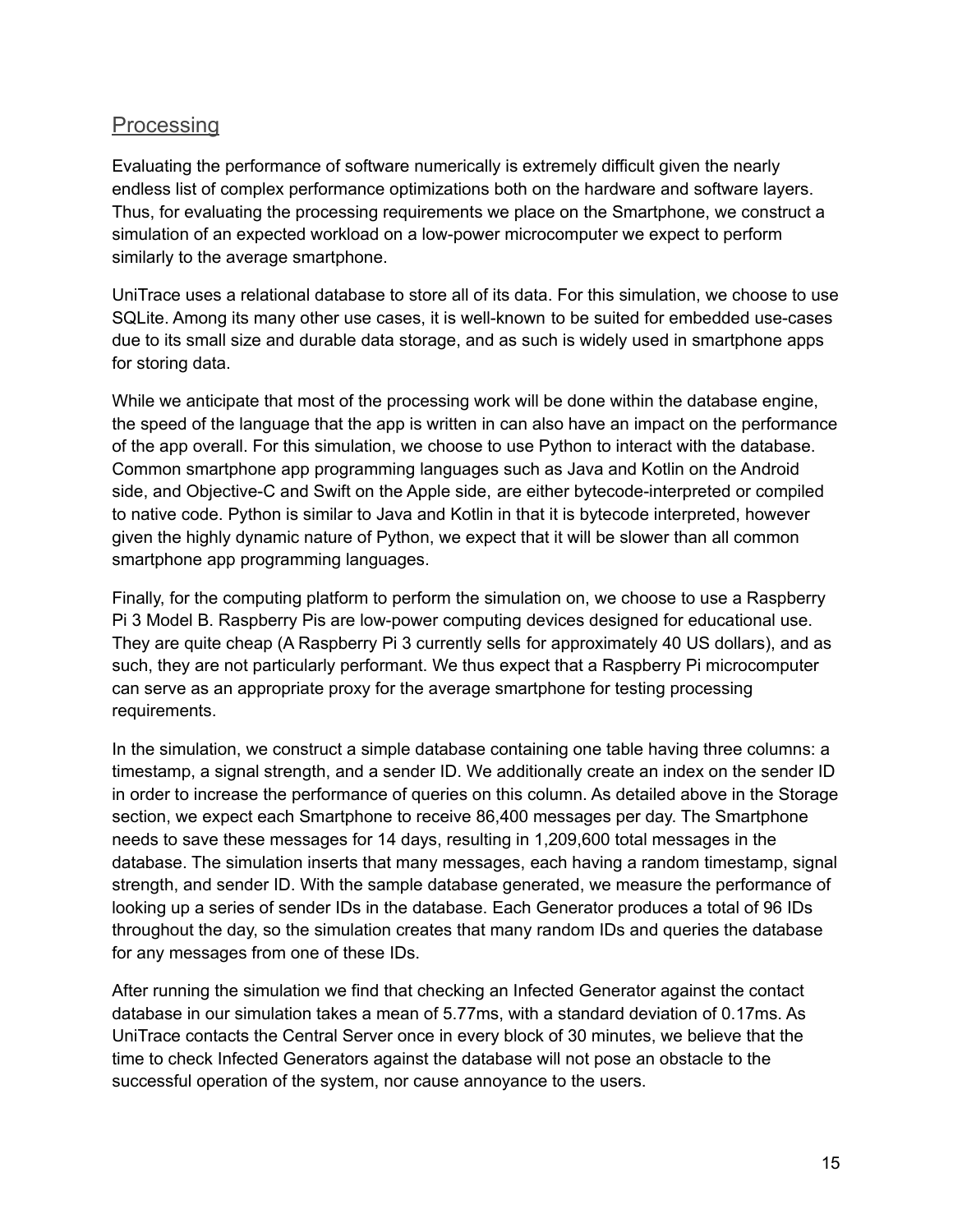#### <span id="page-14-0"></span>**Processing**

Evaluating the performance of software numerically is extremely difficult given the nearly endless list of complex performance optimizations both on the hardware and software layers. Thus, for evaluating the processing requirements we place on the Smartphone, we construct a simulation of an expected workload on a low-power microcomputer we expect to perform similarly to the average smartphone.

UniTrace uses a relational database to store all of its data. For this simulation, we choose to use SQLite. Among its many other use cases, it is well-known to be suited for embedded use-cases due to its small size and durable data storage, and as such is widely used in smartphone apps for storing data.

While we anticipate that most of the processing work will be done within the database engine, the speed of the language that the app is written in can also have an impact on the performance of the app overall. For this simulation, we choose to use Python to interact with the database. Common smartphone app programming languages such as Java and Kotlin on the Android side, and Objective-C and Swift on the Apple side, are either bytecode-interpreted or compiled to native code. Python is similar to Java and Kotlin in that it is bytecode interpreted, however given the highly dynamic nature of Python, we expect that it will be slower than all common smartphone app programming languages.

Finally, for the computing platform to perform the simulation on, we choose to use a Raspberry Pi 3 Model B. Raspberry Pis are low-power computing devices designed for educational use. They are quite cheap (A Raspberry Pi 3 currently sells for approximately 40 US dollars), and as such, they are not particularly performant. We thus expect that a Raspberry Pi microcomputer can serve as an appropriate proxy for the average smartphone for testing processing requirements.

In the simulation, we construct a simple database containing one table having three columns: a timestamp, a signal strength, and a sender ID. We additionally create an index on the sender ID in order to increase the performance of queries on this column. As detailed above in the Storage section, we expect each Smartphone to receive 86,400 messages per day. The Smartphone needs to save these messages for 14 days, resulting in 1,209,600 total messages in the database. The simulation inserts that many messages, each having a random timestamp, signal strength, and sender ID. With the sample database generated, we measure the performance of looking up a series of sender IDs in the database. Each Generator produces a total of 96 IDs throughout the day, so the simulation creates that many random IDs and queries the database for any messages from one of these IDs.

After running the simulation we find that checking an Infected Generator against the contact database in our simulation takes a mean of 5.77ms, with a standard deviation of 0.17ms. As UniTrace contacts the Central Server once in every block of 30 minutes, we believe that the time to check Infected Generators against the database will not pose an obstacle to the successful operation of the system, nor cause annoyance to the users.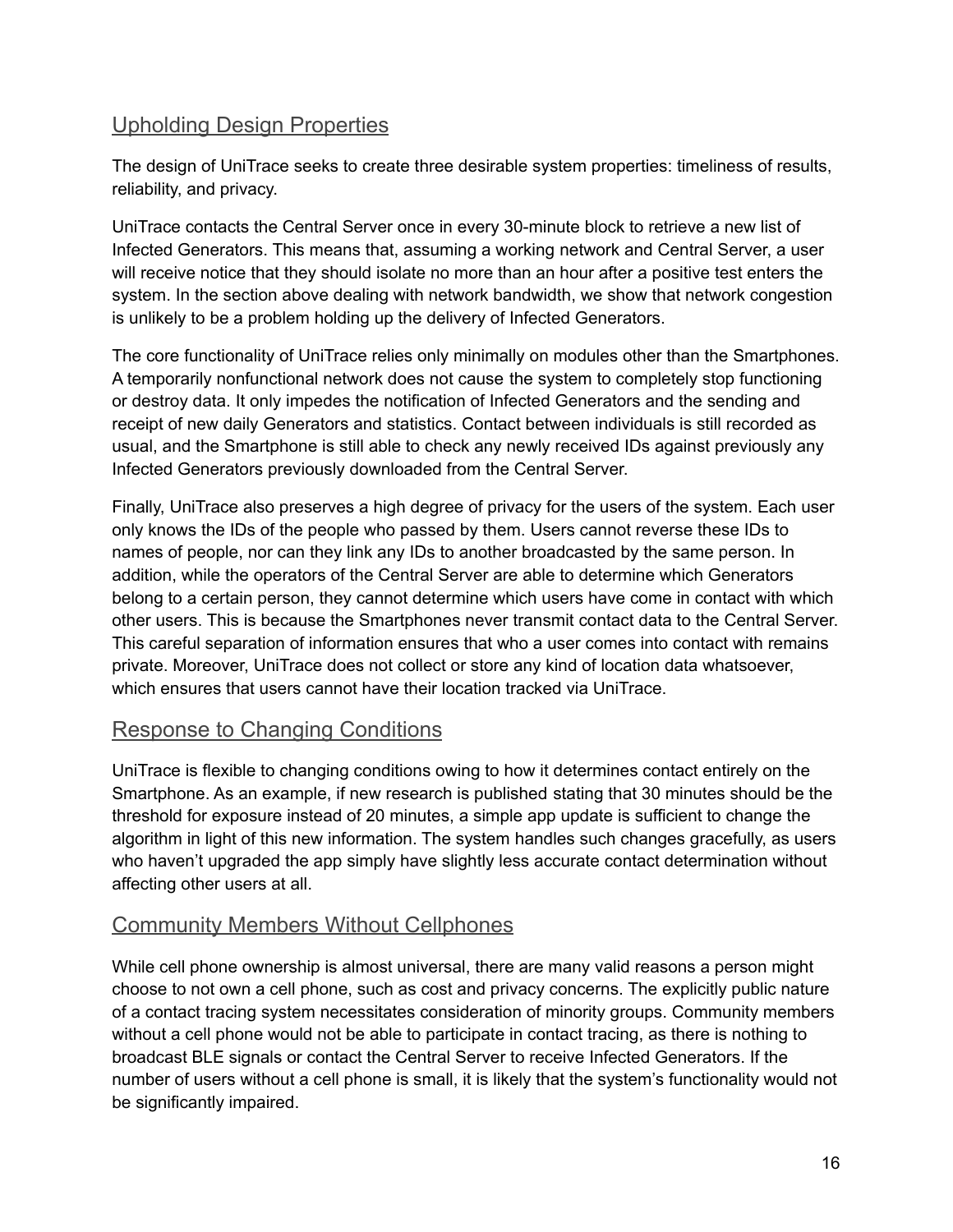#### <span id="page-15-0"></span>Upholding Design Properties

The design of UniTrace seeks to create three desirable system properties: timeliness of results, reliability, and privacy.

UniTrace contacts the Central Server once in every 30-minute block to retrieve a new list of Infected Generators. This means that, assuming a working network and Central Server, a user will receive notice that they should isolate no more than an hour after a positive test enters the system. In the section above dealing with network bandwidth, we show that network congestion is unlikely to be a problem holding up the delivery of Infected Generators.

The core functionality of UniTrace relies only minimally on modules other than the Smartphones. A temporarily nonfunctional network does not cause the system to completely stop functioning or destroy data. It only impedes the notification of Infected Generators and the sending and receipt of new daily Generators and statistics. Contact between individuals is still recorded as usual, and the Smartphone is still able to check any newly received IDs against previously any Infected Generators previously downloaded from the Central Server.

Finally, UniTrace also preserves a high degree of privacy for the users of the system. Each user only knows the IDs of the people who passed by them. Users cannot reverse these IDs to names of people, nor can they link any IDs to another broadcasted by the same person. In addition, while the operators of the Central Server are able to determine which Generators belong to a certain person, they cannot determine which users have come in contact with which other users. This is because the Smartphones never transmit contact data to the Central Server. This careful separation of information ensures that who a user comes into contact with remains private. Moreover, UniTrace does not collect or store any kind of location data whatsoever, which ensures that users cannot have their location tracked via UniTrace.

#### <span id="page-15-1"></span>Response to Changing Conditions

UniTrace is flexible to changing conditions owing to how it determines contact entirely on the Smartphone. As an example, if new research is published stating that 30 minutes should be the threshold for exposure instead of 20 minutes, a simple app update is sufficient to change the algorithm in light of this new information. The system handles such changes gracefully, as users who haven't upgraded the app simply have slightly less accurate contact determination without affecting other users at all.

#### <span id="page-15-2"></span>Community Members Without Cellphones

While cell phone ownership is almost universal, there are many valid reasons a person might choose to not own a cell phone, such as cost and privacy concerns. The explicitly public nature of a contact tracing system necessitates consideration of minority groups. Community members without a cell phone would not be able to participate in contact tracing, as there is nothing to broadcast BLE signals or contact the Central Server to receive Infected Generators. If the number of users without a cell phone is small, it is likely that the system's functionality would not be significantly impaired.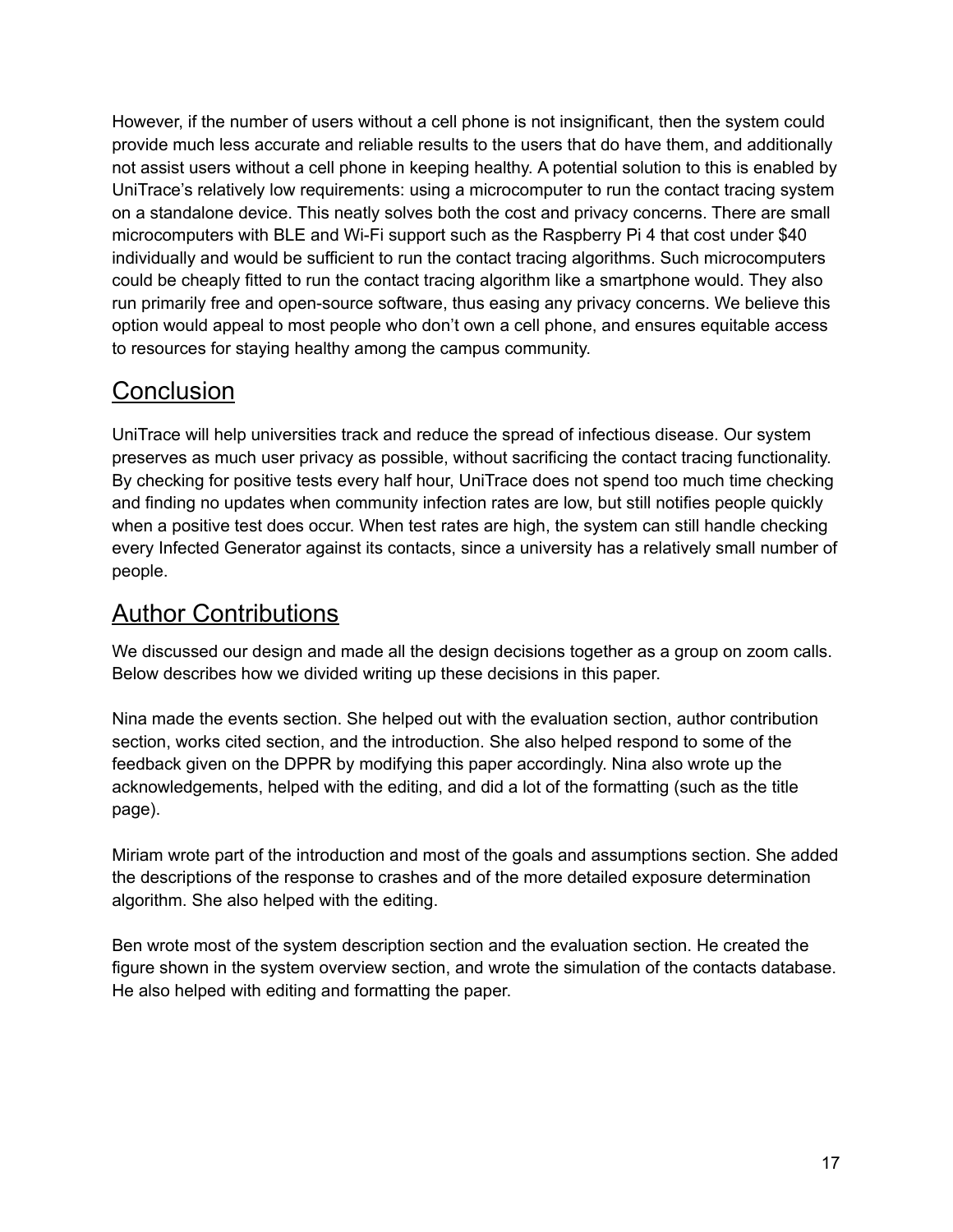However, if the number of users without a cell phone is not insignificant, then the system could provide much less accurate and reliable results to the users that do have them, and additionally not assist users without a cell phone in keeping healthy. A potential solution to this is enabled by UniTrace's relatively low requirements: using a microcomputer to run the contact tracing system on a standalone device. This neatly solves both the cost and privacy concerns. There are small microcomputers with BLE and Wi-Fi support such as the Raspberry Pi 4 that cost under \$40 individually and would be sufficient to run the contact tracing algorithms. Such microcomputers could be cheaply fitted to run the contact tracing algorithm like a smartphone would. They also run primarily free and open-source software, thus easing any privacy concerns. We believe this option would appeal to most people who don't own a cell phone, and ensures equitable access to resources for staying healthy among the campus community.

## <span id="page-16-0"></span>**Conclusion**

UniTrace will help universities track and reduce the spread of infectious disease. Our system preserves as much user privacy as possible, without sacrificing the contact tracing functionality. By checking for positive tests every half hour, UniTrace does not spend too much time checking and finding no updates when community infection rates are low, but still notifies people quickly when a positive test does occur. When test rates are high, the system can still handle checking every Infected Generator against its contacts, since a university has a relatively small number of people.

## <span id="page-16-1"></span>Author Contributions

We discussed our design and made all the design decisions together as a group on zoom calls. Below describes how we divided writing up these decisions in this paper.

Nina made the events section. She helped out with the evaluation section, author contribution section, works cited section, and the introduction. She also helped respond to some of the feedback given on the DPPR by modifying this paper accordingly. Nina also wrote up the acknowledgements, helped with the editing, and did a lot of the formatting (such as the title page).

Miriam wrote part of the introduction and most of the goals and assumptions section. She added the descriptions of the response to crashes and of the more detailed exposure determination algorithm. She also helped with the editing.

Ben wrote most of the system description section and the evaluation section. He created the figure shown in the system overview section, and wrote the simulation of the contacts database. He also helped with editing and formatting the paper.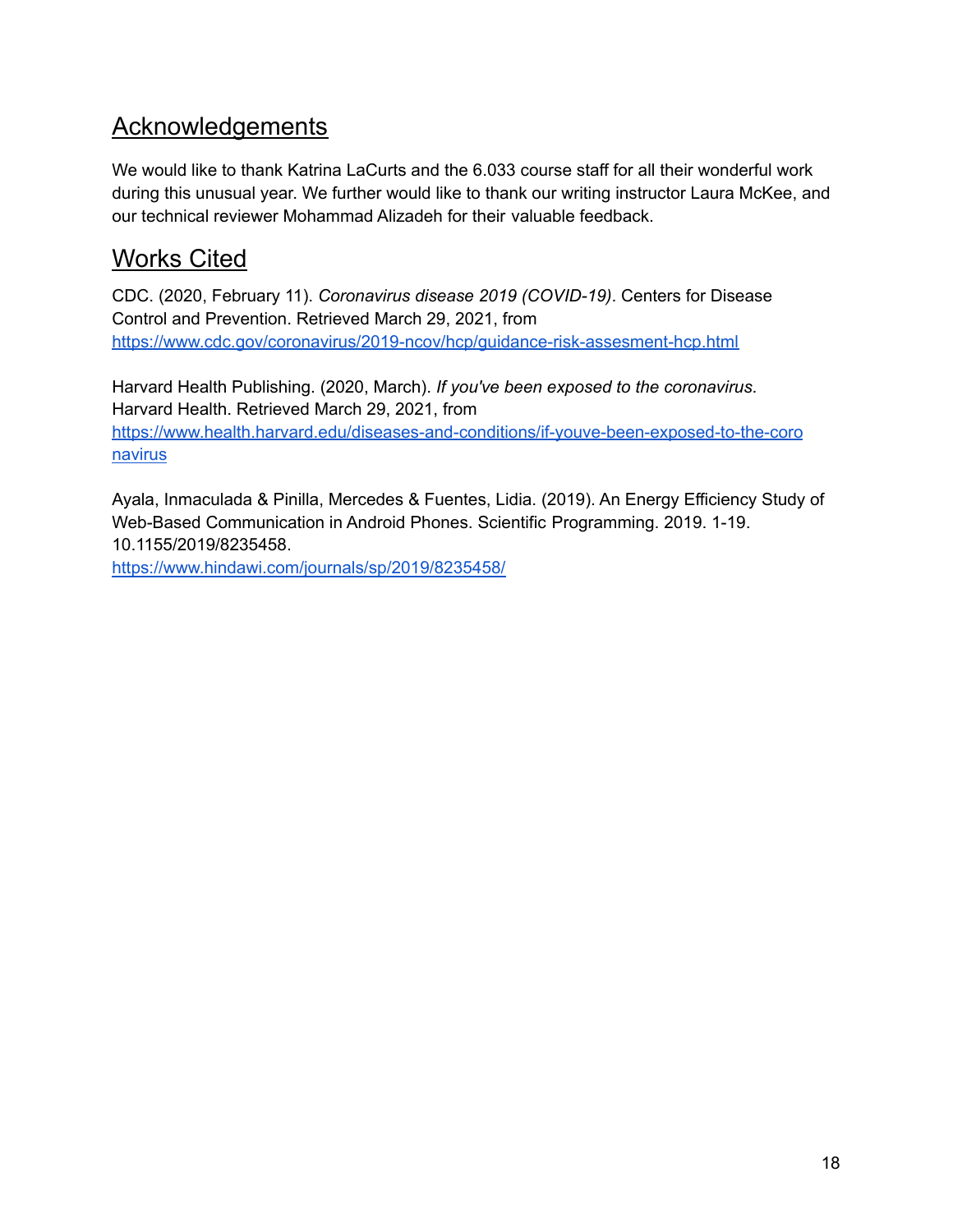## <span id="page-17-0"></span>Acknowledgements

We would like to thank Katrina LaCurts and the 6.033 course staff for all their wonderful work during this unusual year. We further would like to thank our writing instructor Laura McKee, and our technical reviewer Mohammad Alizadeh for their valuable feedback.

## <span id="page-17-1"></span>Works Cited

CDC. (2020, February 11). *Coronavirus disease 2019 (COVID-19)*. Centers for Disease Control and Prevention. Retrieved March 29, 2021, fro[m](https://www.cdc.gov/coronavirus/2019-ncov/hcp/guidance-risk-assesment-hcp.html) <https://www.cdc.gov/coronavirus/2019-ncov/hcp/guidance-risk-assesment-hcp.html>

Harvard Health Publishing. (2020, March). *If you've been exposed to the coronavirus*. Harvard Health. Retrieved March 29, 2021, from [https://www.health.harvard.edu/diseases-and-conditions/if-youve-been-exposed-to-the-coro](https://www.health.harvard.edu/diseases-and-conditions/if-youve-been-exposed-to-the-coronavirus) [navirus](https://www.health.harvard.edu/diseases-and-conditions/if-youve-been-exposed-to-the-coronavirus)

Ayala, Inmaculada & Pinilla, Mercedes & Fuentes, Lidia. (2019). An Energy Efficiency Study of Web-Based Communication in Android Phones. Scientific Programming. 2019. 1-19. 10.1155/2019/8235458.

<https://www.hindawi.com/journals/sp/2019/8235458/>